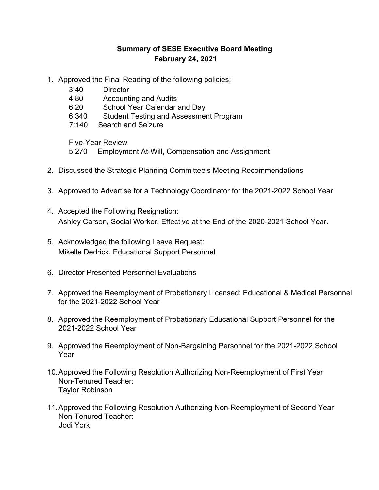## **Summary of SESE Executive Board Meeting February 24, 2021**

- 1. Approved the Final Reading of the following policies:
	- 3:40 Director
	- 4:80 Accounting and Audits
	- 6:20 School Year Calendar and Day
	- 6:340 Student Testing and Assessment Program
	- 7:140 Search and Seizure

Five-Year Review

5:270 Employment At-Will, Compensation and Assignment

- 2. Discussed the Strategic Planning Committee's Meeting Recommendations
- 3. Approved to Advertise for a Technology Coordinator for the 2021-2022 School Year
- 4. Accepted the Following Resignation: Ashley Carson, Social Worker, Effective at the End of the 2020-2021 School Year.
- 5. Acknowledged the following Leave Request: Mikelle Dedrick, Educational Support Personnel
- 6. Director Presented Personnel Evaluations
- 7. Approved the Reemployment of Probationary Licensed: Educational & Medical Personnel for the 2021-2022 School Year
- 8. Approved the Reemployment of Probationary Educational Support Personnel for the 2021-2022 School Year
- 9. Approved the Reemployment of Non-Bargaining Personnel for the 2021-2022 School Year
- 10.Approved the Following Resolution Authorizing Non-Reemployment of First Year Non-Tenured Teacher: Taylor Robinson
- 11.Approved the Following Resolution Authorizing Non-Reemployment of Second Year Non-Tenured Teacher: Jodi York